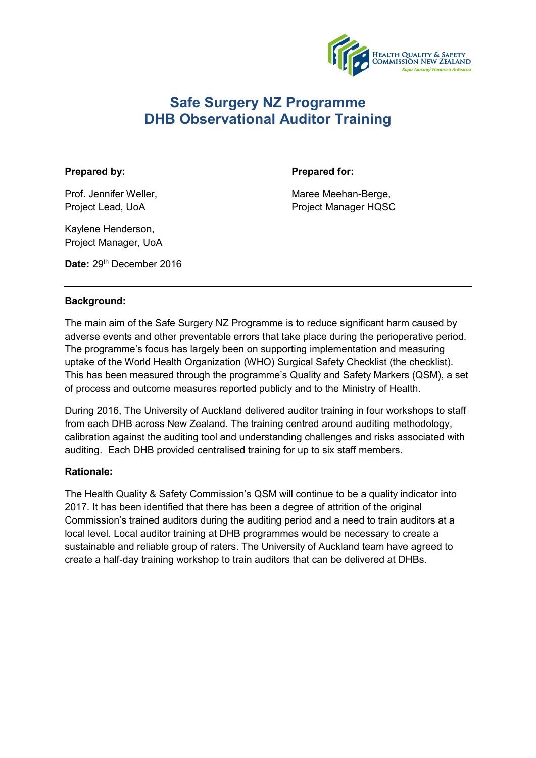

# **Safe Surgery NZ Programme DHB Observational Auditor Training**

## Prepared by: **Prepared for: Prepared for:**

Prof. Jennifer Weller, Natural Maree Meehan-Berge, Natural Maree Meehan-Berge, Project Lead, UoA Project Manager HQSC

Kaylene Henderson, Project Manager, UoA

Date: 29<sup>th</sup> December 2016

## **Background:**

The main aim of the Safe Surgery NZ Programme is to reduce significant harm caused by adverse events and other preventable errors that take place during the perioperative period. The programme's focus has largely been on supporting implementation and measuring uptake of the World Health Organization (WHO) Surgical Safety Checklist (the checklist). This has been measured through the programme's Quality and Safety Markers (QSM), a set of process and outcome measures reported publicly and to the Ministry of Health.

During 2016, The University of Auckland delivered auditor training in four workshops to staff from each DHB across New Zealand. The training centred around auditing methodology, calibration against the auditing tool and understanding challenges and risks associated with auditing. Each DHB provided centralised training for up to six staff members.

## **Rationale:**

The Health Quality & Safety Commission's QSM will continue to be a quality indicator into 2017. It has been identified that there has been a degree of attrition of the original Commission's trained auditors during the auditing period and a need to train auditors at a local level. Local auditor training at DHB programmes would be necessary to create a sustainable and reliable group of raters. The University of Auckland team have agreed to create a half-day training workshop to train auditors that can be delivered at DHBs.